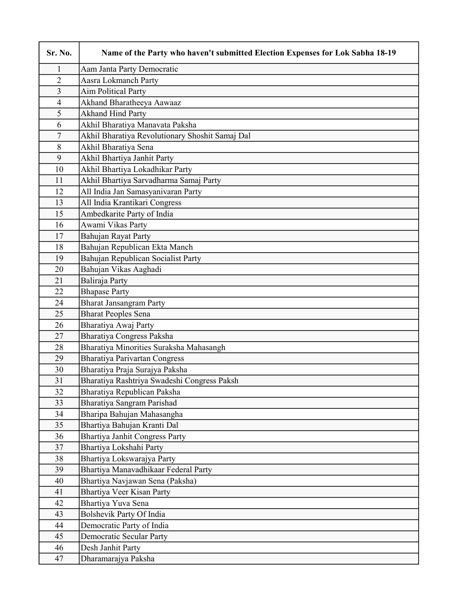| Sr. No.        | Name of the Party who haven't submitted Election Expenses for Lok Sabha 18-19 |
|----------------|-------------------------------------------------------------------------------|
| 1              | Aam Janta Party Democratic                                                    |
| $\overline{2}$ | Aasra Lokmanch Party                                                          |
| $\overline{3}$ | <b>Aim Political Party</b>                                                    |
| $\overline{4}$ | Akhand Bharatheeya Aawaaz                                                     |
| 5              | <b>Akhand Hind Party</b>                                                      |
| 6              | Akhil Bharatiya Manavata Paksha                                               |
| $\tau$         | Akhil Bharatiya Revolutionary Shoshit Samaj Dal                               |
| 8              | Akhil Bharatiya Sena                                                          |
| 9              | Akhil Bhartiya Janhit Party                                                   |
| 10             | Akhil Bhartiya Lokadhikar Party                                               |
| 11             | Akhil Bhartiya Sarvadharma Samaj Party                                        |
| 12             | All India Jan Samasyanivaran Party                                            |
| 13             | All India Krantikari Congress                                                 |
| 15             | Ambedkarite Party of India                                                    |
| 16             | Awami Vikas Party                                                             |
| 17             | Bahujan Rayat Party                                                           |
| 18             | Bahujan Republican Ekta Manch                                                 |
| 19             | Bahujan Republican Socialist Party                                            |
| 20             | Bahujan Vikas Aaghadi                                                         |
| 21             | Baliraja Party                                                                |
| 22             | <b>Bhapase Party</b>                                                          |
| 24             | <b>Bharat Jansangram Party</b>                                                |
| 25             | <b>Bharat Peoples Sena</b>                                                    |
| 26             | Bharatiya Awaj Party                                                          |
| 27             | Bharatiya Congress Paksha                                                     |
| 28             | Bharatiya Minorities Suraksha Mahasangh                                       |
| 29             | <b>Bharatiya Parivartan Congress</b>                                          |
| 30             | Bharatiya Praja Surajya Paksha                                                |
| 31             | Bharatiya Rashtriya Swadeshi Congress Paksh                                   |
| 32             | Bharatiya Republican Paksha                                                   |
| 33             | Bharatiya Sangram Parishad                                                    |
| 34             | Bharipa Bahujan Mahasangha                                                    |
| 35             | Bhartiya Bahujan Kranti Dal                                                   |
| 36             | <b>Bhartiya Janhit Congress Party</b>                                         |
| 37             | Bhartiya Lokshahi Party                                                       |
| 38             | Bhartiya Lokswarajya Party                                                    |
| 39             | Bhartiya Manavadhikaar Federal Party                                          |
| 40             | Bhartiya Navjawan Sena (Paksha)                                               |
| 41             | Bhartiya Veer Kisan Party                                                     |
| 42             | Bhartiya Yuva Sena                                                            |
| 43             | Bolshevik Party Of India                                                      |
| 44             | Democratic Party of India                                                     |
| 45             | <b>Democratic Secular Party</b>                                               |
| 46             | Desh Janhit Party                                                             |
| 47             | Dharamarajya Paksha                                                           |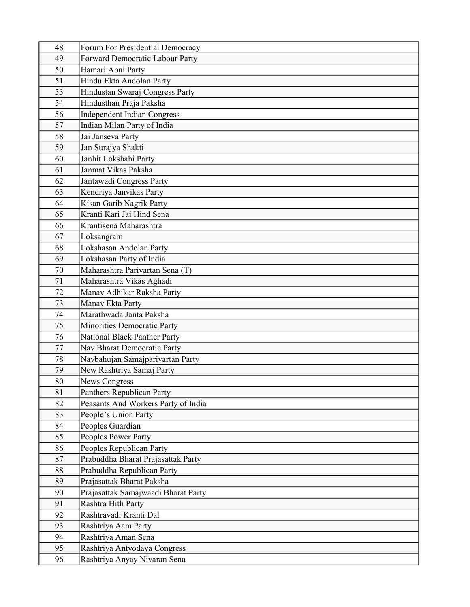| 48 | Forum For Presidential Democracy    |
|----|-------------------------------------|
| 49 | Forward Democratic Labour Party     |
| 50 | Hamari Apni Party                   |
| 51 | Hindu Ekta Andolan Party            |
| 53 | Hindustan Swaraj Congress Party     |
| 54 | Hindusthan Praja Paksha             |
| 56 | <b>Independent Indian Congress</b>  |
| 57 | Indian Milan Party of India         |
| 58 | Jai Janseva Party                   |
| 59 | Jan Surajya Shakti                  |
| 60 | Janhit Lokshahi Party               |
| 61 | Janmat Vikas Paksha                 |
| 62 | Jantawadi Congress Party            |
| 63 | Kendriya Janvikas Party             |
| 64 | Kisan Garib Nagrik Party            |
| 65 | Kranti Kari Jai Hind Sena           |
| 66 | Krantisena Maharashtra              |
| 67 | Loksangram                          |
| 68 | Lokshasan Andolan Party             |
| 69 | Lokshasan Party of India            |
| 70 | Maharashtra Parivartan Sena (T)     |
| 71 | Maharashtra Vikas Aghadi            |
| 72 | Manav Adhikar Raksha Party          |
| 73 | Manav Ekta Party                    |
| 74 | Marathwada Janta Paksha             |
| 75 | Minorities Democratic Party         |
| 76 | National Black Panther Party        |
| 77 | Nav Bharat Democratic Party         |
| 78 | Navbahujan Samajparivartan Party    |
| 79 | New Rashtriya Samaj Party           |
| 80 | News Congress                       |
| 81 | Panthers Republican Party           |
| 82 | Peasants And Workers Party of India |
| 83 | People's Union Party                |
| 84 | Peoples Guardian                    |
| 85 | Peoples Power Party                 |
| 86 | Peoples Republican Party            |
| 87 | Prabuddha Bharat Prajasattak Party  |
| 88 | Prabuddha Republican Party          |
| 89 | Prajasattak Bharat Paksha           |
| 90 | Prajasattak Samajwaadi Bharat Party |
| 91 | Rashtra Hith Party                  |
| 92 | Rashtravadi Kranti Dal              |
| 93 | Rashtriya Aam Party                 |
| 94 | Rashtriya Aman Sena                 |
| 95 | Rashtriya Antyodaya Congress        |
| 96 | Rashtriya Anyay Nivaran Sena        |